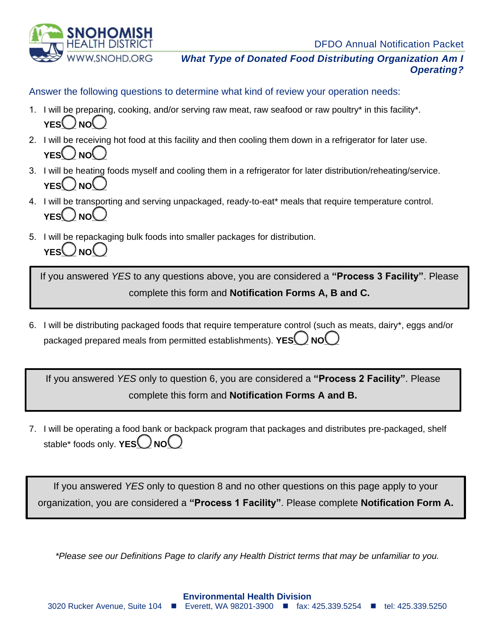DFDO Annual Notification Packet



*What Type of Donated Food Distributing Organization Am I Operating?*

Answer the following questions to determine what kind of review your operation needs:

- 1. I will be preparing, cooking, and/or serving raw meat, raw seafood or raw poultry\* in this facility\*. **YES**  $\bigcup_{N}$  NO  $\bigcup$
- 2. I will be receiving hot food at this facility and then cooling them down in a refrigerator for later use. YES<sup>()</sup>NO<sup>(</sup>
- 3. I will be heating foods myself and cooling them in a refrigerator for later distribution/reheating/service. **YES**  $\bigcup_{N}$
- 4. I will be transporting and serving unpackaged, ready-to-eat\* meals that require temperature control.  $YES()NO$
- 5. I will be repackaging bulk foods into smaller packages for distribution. **YES** ( ) NO ( )

If you answered *YES* to any questions above, you are considered a **"Process 3 Facility"**. Please complete this form and **Notification Forms A, B and C.**

6. I will be distributing packaged foods that require temperature control (such as meats, dairy\*, eggs and/or packaged prepared meals from permitted establishments). **YES**O NO

If you answered *YES* only to question 6, you are considered a **"Process 2 Facility"**. Please complete this form and **Notification Forms A and B.**

7. I will be operating a food bank or backpack program that packages and distributes pre-packaged, shelf stable\* foods only. **YES**<sup>O</sup>NO<sup>O</sup>

If you answered *YES* only to question 8 and no other questions on this page apply to your organization, you are considered a **"Process 1 Facility"**. Please complete **Notification Form A.**

*\*Please see our Definitions Page to clarify any Health District terms that may be unfamiliar to you.*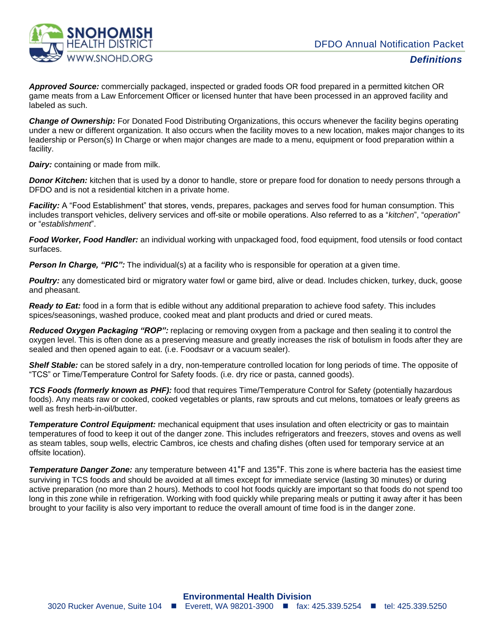

*Approved Source:* commercially packaged, inspected or graded foods OR food prepared in a permitted kitchen OR game meats from a Law Enforcement Officer or licensed hunter that have been processed in an approved facility and labeled as such.

*Change of Ownership:* For Donated Food Distributing Organizations, this occurs whenever the facility begins operating under a new or different organization. It also occurs when the facility moves to a new location, makes major changes to its leadership or Person(s) In Charge or when major changes are made to a menu, equipment or food preparation within a facility.

*Dairy:* containing or made from milk.

*Donor Kitchen:* kitchen that is used by a donor to handle, store or prepare food for donation to needy persons through a DFDO and is not a residential kitchen in a private home.

*Facility:* A "Food Establishment" that stores, vends, prepares, packages and serves food for human consumption. This includes transport vehicles, delivery services and off-site or mobile operations. Also referred to as a "*kitchen*", "*operation*" or "*establishment*".

*Food Worker, Food Handler:* an individual working with unpackaged food, food equipment, food utensils or food contact surfaces.

*Person In Charge, "PIC":* The individual(s) at a facility who is responsible for operation at a given time.

*Poultry:* any domesticated bird or migratory water fowl or game bird, alive or dead. Includes chicken, turkey, duck, goose and pheasant.

*Ready to Eat:* food in a form that is edible without any additional preparation to achieve food safety. This includes spices/seasonings, washed produce, cooked meat and plant products and dried or cured meats.

*Reduced Oxygen Packaging "ROP":* replacing or removing oxygen from a package and then sealing it to control the oxygen level. This is often done as a preserving measure and greatly increases the risk of botulism in foods after they are sealed and then opened again to eat. (i.e. Foodsavr or a vacuum sealer).

*Shelf Stable:* can be stored safely in a dry, non-temperature controlled location for long periods of time. The opposite of "TCS" or Time/Temperature Control for Safety foods. (i.e. dry rice or pasta, canned goods).

*TCS Foods (formerly known as PHF):* food that requires Time/Temperature Control for Safety (potentially hazardous foods). Any meats raw or cooked, cooked vegetables or plants, raw sprouts and cut melons, tomatoes or leafy greens as well as fresh herb-in-oil/butter.

*Temperature Control Equipment:* mechanical equipment that uses insulation and often electricity or gas to maintain temperatures of food to keep it out of the danger zone. This includes refrigerators and freezers, stoves and ovens as well as steam tables, soup wells, electric Cambros, ice chests and chafing dishes (often used for temporary service at an offsite location).

*Temperature Danger Zone:* any temperature between 41°F and 135°F. This zone is where bacteria has the easiest time surviving in TCS foods and should be avoided at all times except for immediate service (lasting 30 minutes) or during active preparation (no more than 2 hours). Methods to cool hot foods quickly are important so that foods do not spend too long in this zone while in refrigeration. Working with food quickly while preparing meals or putting it away after it has been brought to your facility is also very important to reduce the overall amount of time food is in the danger zone.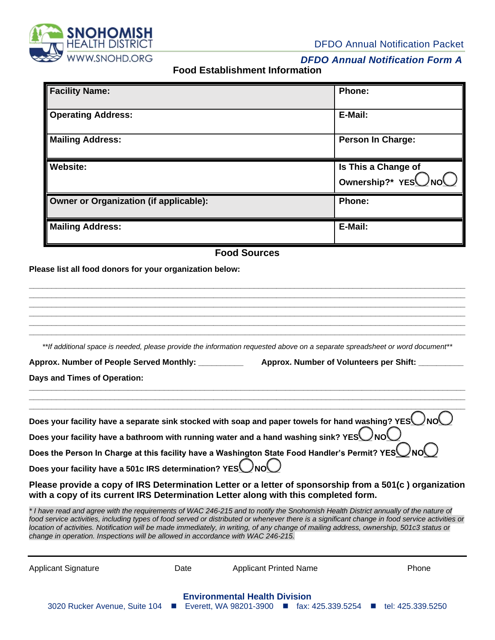

DFDO Annual Notification Packet

## *DFDO Annual Notification Form A*

**Food Establishment Information**

| <b>Facility Name:</b>                         | Phone:                                    |
|-----------------------------------------------|-------------------------------------------|
| <b>Operating Address:</b>                     | E-Mail:                                   |
| <b>Mailing Address:</b>                       | <b>Person In Charge:</b>                  |
| <b>Website:</b>                               | Is This a Change of<br>Ownership?* YESUNO |
| <b>Owner or Organization (if applicable):</b> | Phone:                                    |
| <b>Mailing Address:</b>                       | E-Mail:                                   |

## **Food Sources**

## **Please list all food donors for your organization below:**

**\_\_\_\_\_\_\_\_\_\_\_\_\_\_\_\_\_\_\_\_\_\_\_\_\_\_\_\_\_\_\_\_\_\_\_\_\_\_\_\_\_\_\_\_\_\_\_\_\_\_\_\_\_\_\_\_\_\_\_\_\_\_\_\_\_\_\_\_\_\_\_\_\_\_\_\_\_\_\_\_\_\_\_\_\_\_\_\_\_\_\_\_\_\_\_\_\_ \_\_\_\_\_\_\_\_\_\_\_\_\_\_\_\_\_\_\_\_\_\_\_\_\_\_\_\_\_\_\_\_\_\_\_\_\_\_\_\_\_\_\_\_\_\_\_\_\_\_\_\_\_\_\_\_\_\_\_\_\_\_\_\_\_\_\_\_\_\_\_\_\_\_\_\_\_\_\_\_\_\_\_\_\_\_\_\_\_\_\_\_\_\_\_\_\_ \_\_\_\_\_\_\_\_\_\_\_\_\_\_\_\_\_\_\_\_\_\_\_\_\_\_\_\_\_\_\_\_\_\_\_\_\_\_\_\_\_\_\_\_\_\_\_\_\_\_\_\_\_\_\_\_\_\_\_\_\_\_\_\_\_\_\_\_\_\_\_\_\_\_\_\_\_\_\_\_\_\_\_\_\_\_\_\_\_\_\_\_\_\_\_\_\_ \_\_\_\_\_\_\_\_\_\_\_\_\_\_\_\_\_\_\_\_\_\_\_\_\_\_\_\_\_\_\_\_\_\_\_\_\_\_\_\_\_\_\_\_\_\_\_\_\_\_\_\_\_\_\_\_\_\_\_\_\_\_\_\_\_\_\_\_\_\_\_\_\_\_\_\_\_\_\_\_\_\_\_\_\_\_\_\_\_\_\_\_\_\_\_\_\_ \_\_\_\_\_\_\_\_\_\_\_\_\_\_\_\_\_\_\_\_\_\_\_\_\_\_\_\_\_\_\_\_\_\_\_\_\_\_\_\_\_\_\_\_\_\_\_\_\_\_\_\_\_\_\_\_\_\_\_\_\_\_\_\_\_\_\_\_\_\_\_\_\_\_\_\_\_\_\_\_\_\_\_\_\_\_\_\_\_\_\_\_\_\_\_\_\_ \_\_\_\_\_\_\_\_\_\_\_\_\_\_\_\_\_\_\_\_\_\_\_\_\_\_\_\_\_\_\_\_\_\_\_\_\_\_\_\_\_\_\_\_\_\_\_\_\_\_\_\_\_\_\_\_\_\_\_\_\_\_\_\_\_\_\_\_\_\_\_\_\_\_\_\_\_\_\_\_\_\_\_\_\_\_\_\_\_\_\_\_\_\_\_\_\_** *\*\*If additional space is needed, please provide the information requested above on a separate spreadsheet or word document\*\** **Approx. Number of People Served Monthly: \_\_\_\_\_\_\_\_\_\_ Approx. Number of Volunteers per Shift: \_\_\_\_\_\_\_\_\_\_ Days and Times of Operation: \_\_\_\_\_\_\_\_\_\_\_\_\_\_\_\_\_\_\_\_\_\_\_\_\_\_\_\_\_\_\_\_\_\_\_\_\_\_\_\_\_\_\_\_\_\_\_\_\_\_\_\_\_\_\_\_\_\_\_\_\_\_\_\_\_\_\_\_\_\_\_\_\_\_\_\_\_\_\_\_\_\_\_\_\_\_\_\_\_\_\_\_\_\_\_\_\_ \_\_\_\_\_\_\_\_\_\_\_\_\_\_\_\_\_\_\_\_\_\_\_\_\_\_\_\_\_\_\_\_\_\_\_\_\_\_\_\_\_\_\_\_\_\_\_\_\_\_\_\_\_\_\_\_\_\_\_\_\_\_\_\_\_\_\_\_\_\_\_\_\_\_\_\_\_\_\_\_\_\_\_\_\_\_\_\_\_\_\_\_\_\_\_\_\_ \_\_\_\_\_\_\_\_\_\_\_\_\_\_\_\_\_\_\_\_\_\_\_\_\_\_\_\_\_\_\_\_\_\_\_\_\_\_\_\_\_\_\_\_\_\_\_\_\_\_\_\_\_\_\_\_\_\_\_\_\_\_\_\_\_\_\_\_\_\_\_\_\_\_\_\_\_\_\_\_\_\_\_\_\_\_\_\_\_\_\_\_\_\_\_\_\_** Does your facility have a separate sink stocked with soap and paper towels for hand washing? YES NO Does your facility have a bathroom with running water and a hand washing sink? YES NO Does the Person In Charge at this facility have a Washington State Food Handler's Permit? YES Does your facility have a 501c IRS determination? YES NO **Please provide a copy of IRS Determination Letter or a letter of sponsorship from a 501(c ) organization with a copy of its current IRS Determination Letter along with this completed form.**  *\* I have read and agree with the requirements of WAC 246-215 and to notify the Snohomish Health District annually of the nature of food service activities, including types of food served or distributed or whenever there is a significant change in food service activities or location of activities. Notification will be made immediately, in writing, of any change of mailing address, ownership, 501c3 status or change in operation. Inspections will be allowed in accordance with WAC 246-215.* Applicant Signature **Contains Container Container Applicant Printed Name** Phone Phone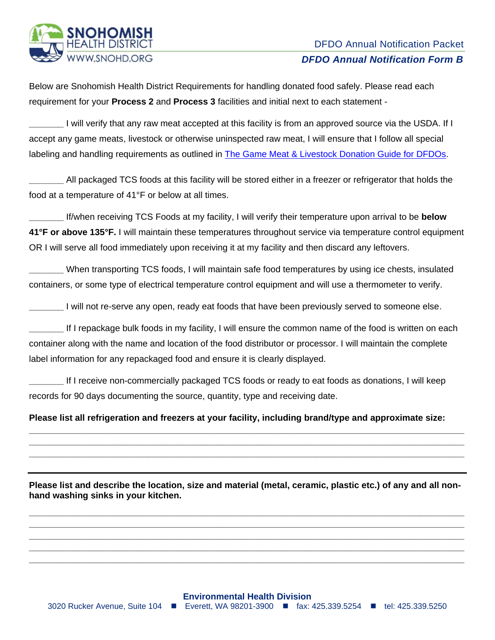

Below are Snohomish Health District Requirements for handling donated food safely. Please read each requirement for your **Process 2** and **Process 3** facilities and initial next to each statement -

**\_\_\_\_\_\_\_** I will verify that any raw meat accepted at this facility is from an approved source via the USDA. If I accept any game meats, livestock or otherwise uninspected raw meat, I will ensure that I follow all special labeling and handling requirements as outlined in [The Game Meat & Livestock Donation Guide for DFDOs.](http://www.snohd.org/DocumentCenter/View/9120/Game-Meat-and-Livestock-Donation-Guide-for-DFDOs-PDF)

**\_\_\_\_\_\_\_** All packaged TCS foods at this facility will be stored either in a freezer or refrigerator that holds the food at a temperature of 41°F or below at all times.

**\_\_\_\_\_\_\_** If/when receiving TCS Foods at my facility, I will verify their temperature upon arrival to be **below 41°F or above 135°F.** I will maintain these temperatures throughout service via temperature control equipment OR I will serve all food immediately upon receiving it at my facility and then discard any leftovers.

**\_\_\_\_\_\_\_** When transporting TCS foods, I will maintain safe food temperatures by using ice chests, insulated containers, or some type of electrical temperature control equipment and will use a thermometer to verify.

**\_\_\_\_\_\_** I will not re-serve any open, ready eat foods that have been previously served to someone else.

**\_\_\_\_\_\_\_** If I repackage bulk foods in my facility, I will ensure the common name of the food is written on each container along with the name and location of the food distributor or processor. I will maintain the complete label information for any repackaged food and ensure it is clearly displayed.

**\_\_\_\_\_\_\_** If I receive non-commercially packaged TCS foods or ready to eat foods as donations, I will keep records for 90 days documenting the source, quantity, type and receiving date.

**Please list all refrigeration and freezers at your facility, including brand/type and approximate size:**

**\_\_\_\_\_\_\_\_\_\_\_\_\_\_\_\_\_\_\_\_\_\_\_\_\_\_\_\_\_\_\_\_\_\_\_\_\_\_\_\_\_\_\_\_\_\_\_\_\_\_\_\_\_\_\_\_\_\_\_\_\_\_\_\_\_\_\_\_\_\_\_\_\_\_\_\_\_\_\_\_\_\_\_\_\_\_\_\_ \_\_\_\_\_\_\_\_\_\_\_\_\_\_\_\_\_\_\_\_\_\_\_\_\_\_\_\_\_\_\_\_\_\_\_\_\_\_\_\_\_\_\_\_\_\_\_\_\_\_\_\_\_\_\_\_\_\_\_\_\_\_\_\_\_\_\_\_\_\_\_\_\_\_\_\_\_\_\_\_\_\_\_\_\_\_\_\_ \_\_\_\_\_\_\_\_\_\_\_\_\_\_\_\_\_\_\_\_\_\_\_\_\_\_\_\_\_\_\_\_\_\_\_\_\_\_\_\_\_\_\_\_\_\_\_\_\_\_\_\_\_\_\_\_\_\_\_\_\_\_\_\_\_\_\_\_\_\_\_\_\_\_\_\_\_\_\_\_\_\_\_\_\_\_\_\_**

**Please list and describe the location, size and material (metal, ceramic, plastic etc.) of any and all nonhand washing sinks in your kitchen.** 

**\_\_\_\_\_\_\_\_\_\_\_\_\_\_\_\_\_\_\_\_\_\_\_\_\_\_\_\_\_\_\_\_\_\_\_\_\_\_\_\_\_\_\_\_\_\_\_\_\_\_\_\_\_\_\_\_\_\_\_\_\_\_\_\_\_\_\_\_\_\_\_\_\_\_\_\_\_\_\_\_\_\_\_\_\_\_\_\_ \_\_\_\_\_\_\_\_\_\_\_\_\_\_\_\_\_\_\_\_\_\_\_\_\_\_\_\_\_\_\_\_\_\_\_\_\_\_\_\_\_\_\_\_\_\_\_\_\_\_\_\_\_\_\_\_\_\_\_\_\_\_\_\_\_\_\_\_\_\_\_\_\_\_\_\_\_\_\_\_\_\_\_\_\_\_\_\_ \_\_\_\_\_\_\_\_\_\_\_\_\_\_\_\_\_\_\_\_\_\_\_\_\_\_\_\_\_\_\_\_\_\_\_\_\_\_\_\_\_\_\_\_\_\_\_\_\_\_\_\_\_\_\_\_\_\_\_\_\_\_\_\_\_\_\_\_\_\_\_\_\_\_\_\_\_\_\_\_\_\_\_\_\_\_\_\_ \_\_\_\_\_\_\_\_\_\_\_\_\_\_\_\_\_\_\_\_\_\_\_\_\_\_\_\_\_\_\_\_\_\_\_\_\_\_\_\_\_\_\_\_\_\_\_\_\_\_\_\_\_\_\_\_\_\_\_\_\_\_\_\_\_\_\_\_\_\_\_\_\_\_\_\_\_\_\_\_\_\_\_\_\_\_\_\_ \_\_\_\_\_\_\_\_\_\_\_\_\_\_\_\_\_\_\_\_\_\_\_\_\_\_\_\_\_\_\_\_\_\_\_\_\_\_\_\_\_\_\_\_\_\_\_\_\_\_\_\_\_\_\_\_\_\_\_\_\_\_\_\_\_\_\_\_\_\_\_\_\_\_\_\_\_\_\_\_\_\_\_\_\_\_\_\_**